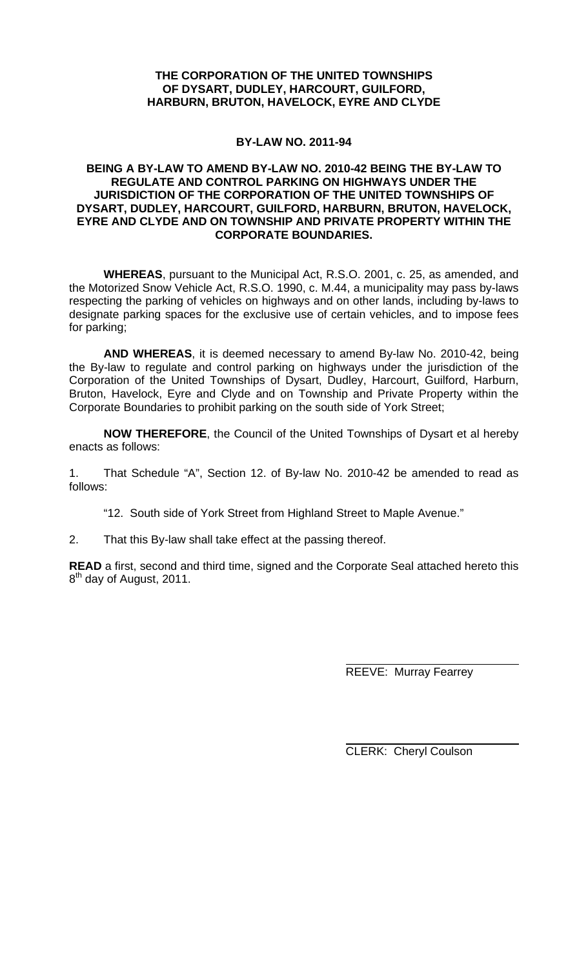# **THE CORPORATION OF THE UNITED TOWNSHIPS OF DYSART, DUDLEY, HARCOURT, GUILFORD, HARBURN, BRUTON, HAVELOCK, EYRE AND CLYDE**

## **BY-LAW NO. 2011-94**

## **BEING A BY-LAW TO AMEND BY-LAW NO. 2010-42 BEING THE BY-LAW TO REGULATE AND CONTROL PARKING ON HIGHWAYS UNDER THE JURISDICTION OF THE CORPORATION OF THE UNITED TOWNSHIPS OF DYSART, DUDLEY, HARCOURT, GUILFORD, HARBURN, BRUTON, HAVELOCK, EYRE AND CLYDE AND ON TOWNSHIP AND PRIVATE PROPERTY WITHIN THE CORPORATE BOUNDARIES.**

**WHEREAS**, pursuant to the Municipal Act, R.S.O. 2001, c. 25, as amended, and the Motorized Snow Vehicle Act, R.S.O. 1990, c. M.44, a municipality may pass by-laws respecting the parking of vehicles on highways and on other lands, including by-laws to designate parking spaces for the exclusive use of certain vehicles, and to impose fees for parking;

**AND WHEREAS**, it is deemed necessary to amend By-law No. 2010-42, being the By-law to regulate and control parking on highways under the jurisdiction of the Corporation of the United Townships of Dysart, Dudley, Harcourt, Guilford, Harburn, Bruton, Havelock, Eyre and Clyde and on Township and Private Property within the Corporate Boundaries to prohibit parking on the south side of York Street;

**NOW THEREFORE**, the Council of the United Townships of Dysart et al hereby enacts as follows:

1. That Schedule "A", Section 12. of By-law No. 2010-42 be amended to read as follows:

"12. South side of York Street from Highland Street to Maple Avenue."

2. That this By-law shall take effect at the passing thereof.

**READ** a first, second and third time, signed and the Corporate Seal attached hereto this 8<sup>th</sup> day of August, 2011.

REEVE: Murray Fearrey

CLERK: Cheryl Coulson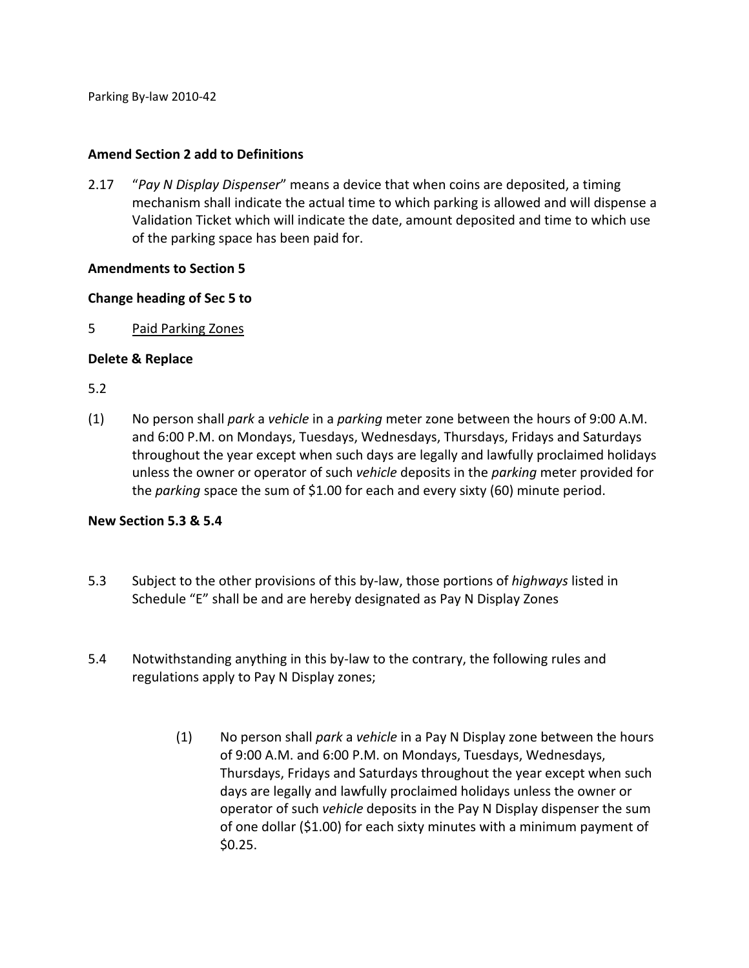Parking By‐law 2010‐42

#### **Amend Section 2 add to Definitions**

2.17 "*Pay N Display Dispenser*" means a device that when coins are deposited, a timing mechanism shall indicate the actual time to which parking is allowed and will dispense a Validation Ticket which will indicate the date, amount deposited and time to which use of the parking space has been paid for.

#### **Amendments to Section 5**

#### **Change heading of Sec 5 to**

5 Paid Parking Zones

#### **Delete & Replace**

5.2

(1) No person shall *park* a *vehicle* in a *parking* meter zone between the hours of 9:00 A.M. and 6:00 P.M. on Mondays, Tuesdays, Wednesdays, Thursdays, Fridays and Saturdays throughout the year except when such days are legally and lawfully proclaimed holidays unless the owner or operator of such *vehicle* deposits in the *parking* meter provided for the *parking* space the sum of \$1.00 for each and every sixty (60) minute period.

### **New Section 5.3 & 5.4**

- 5.3 Subject to the other provisions of this by‐law, those portions of *highways* listed in Schedule "E" shall be and are hereby designated as Pay N Display Zones
- 5.4 Notwithstanding anything in this by-law to the contrary, the following rules and regulations apply to Pay N Display zones;
	- (1) No person shall *park* a *vehicle* in a Pay N Display zone between the hours of 9:00 A.M. and 6:00 P.M. on Mondays, Tuesdays, Wednesdays, Thursdays, Fridays and Saturdays throughout the year except when such days are legally and lawfully proclaimed holidays unless the owner or operator of such *vehicle* deposits in the Pay N Display dispenser the sum of one dollar (\$1.00) for each sixty minutes with a minimum payment of \$0.25.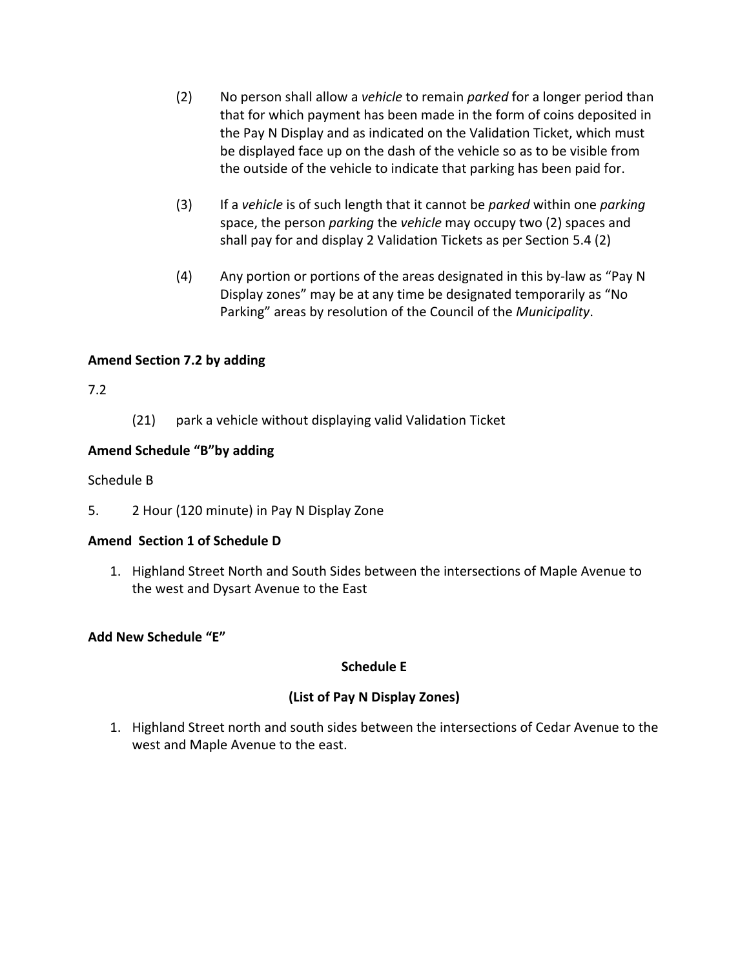- (2) No person shall allow a *vehicle* to remain *parked* for a longer period than that for which payment has been made in the form of coins deposited in the Pay N Display and as indicated on the Validation Ticket, which must be displayed face up on the dash of the vehicle so as to be visible from the outside of the vehicle to indicate that parking has been paid for.
- (3) If a *vehicle* is of such length that it cannot be *parked* within one *parking* space, the person *parking* the *vehicle* may occupy two (2) spaces and shall pay for and display 2 Validation Tickets as per Section 5.4 (2)
- (4) Any portion or portions of the areas designated in this by‐law as "Pay N Display zones" may be at any time be designated temporarily as "No Parking" areas by resolution of the Council of the *Municipality*.

## **Amend Section 7.2 by adding**

## 7.2

(21) park a vehicle without displaying valid Validation Ticket

## **Amend Schedule "B"by adding**

## Schedule B

5. 2 Hour (120 minute) in Pay N Display Zone

## **Amend Section 1 of Schedule D**

1. Highland Street North and South Sides between the intersections of Maple Avenue to the west and Dysart Avenue to the East

## **Add New Schedule "E"**

### **Schedule E**

## **(List of Pay N Display Zones)**

1. Highland Street north and south sides between the intersections of Cedar Avenue to the west and Maple Avenue to the east.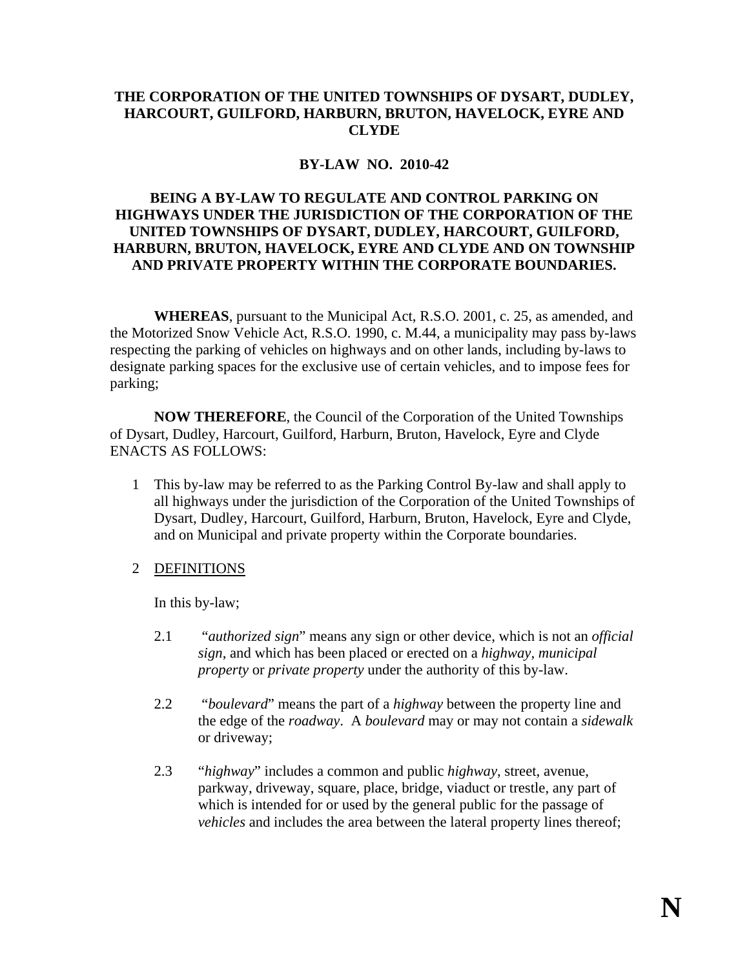## **THE CORPORATION OF THE UNITED TOWNSHIPS OF DYSART, DUDLEY, HARCOURT, GUILFORD, HARBURN, BRUTON, HAVELOCK, EYRE AND CLYDE**

## **BY-LAW NO. 2010-42**

## **BEING A BY-LAW TO REGULATE AND CONTROL PARKING ON HIGHWAYS UNDER THE JURISDICTION OF THE CORPORATION OF THE UNITED TOWNSHIPS OF DYSART, DUDLEY, HARCOURT, GUILFORD, HARBURN, BRUTON, HAVELOCK, EYRE AND CLYDE AND ON TOWNSHIP AND PRIVATE PROPERTY WITHIN THE CORPORATE BOUNDARIES.**

**WHEREAS**, pursuant to the Municipal Act, R.S.O. 2001, c. 25, as amended, and the Motorized Snow Vehicle Act, R.S.O. 1990, c. M.44, a municipality may pass by-laws respecting the parking of vehicles on highways and on other lands, including by-laws to designate parking spaces for the exclusive use of certain vehicles, and to impose fees for parking;

**NOW THEREFORE**, the Council of the Corporation of the United Townships of Dysart, Dudley, Harcourt, Guilford, Harburn, Bruton, Havelock, Eyre and Clyde ENACTS AS FOLLOWS:

1 This by-law may be referred to as the Parking Control By-law and shall apply to all highways under the jurisdiction of the Corporation of the United Townships of Dysart, Dudley, Harcourt, Guilford, Harburn, Bruton, Havelock, Eyre and Clyde, and on Municipal and private property within the Corporate boundaries.

## 2 DEFINITIONS

In this by-law;

- 2.1 "*authorized sign*" means any sign or other device, which is not an *official sign*, and which has been placed or erected on a *highway, municipal property* or *private property* under the authority of this by-law.
- 2.2 "*boulevard*" means the part of a *highway* between the property line and the edge of the *roadway*. A *boulevard* may or may not contain a *sidewalk* or driveway;
- 2.3 "*highway*" includes a common and public *highway*, street, avenue, parkway, driveway, square, place, bridge, viaduct or trestle, any part of which is intended for or used by the general public for the passage of *vehicles* and includes the area between the lateral property lines thereof;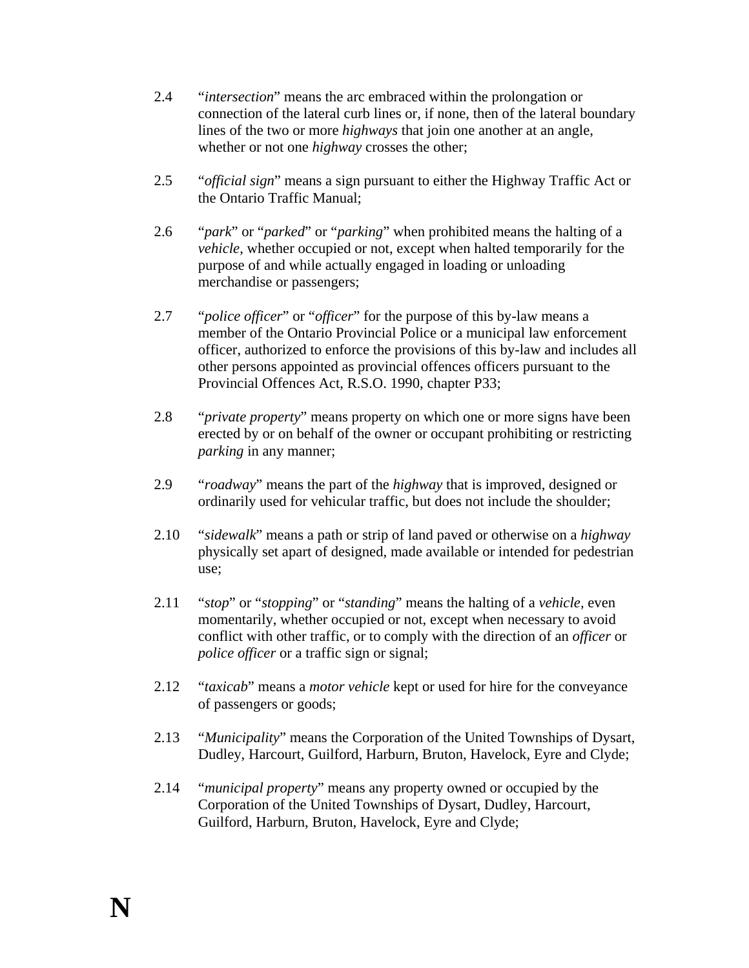- 2.4 "*intersection*" means the arc embraced within the prolongation or connection of the lateral curb lines or, if none, then of the lateral boundary lines of the two or more *highways* that join one another at an angle, whether or not one *highway* crosses the other;
- 2.5 "*official sign*" means a sign pursuant to either the Highway Traffic Act or the Ontario Traffic Manual;
- 2.6 "*park*" or "*parked*" or "*parking*" when prohibited means the halting of a *vehicle*, whether occupied or not, except when halted temporarily for the purpose of and while actually engaged in loading or unloading merchandise or passengers;
- 2.7 "*police officer*" or "*officer*" for the purpose of this by-law means a member of the Ontario Provincial Police or a municipal law enforcement officer, authorized to enforce the provisions of this by-law and includes all other persons appointed as provincial offences officers pursuant to the Provincial Offences Act, R.S.O. 1990, chapter P33;
- 2.8 "*private property*" means property on which one or more signs have been erected by or on behalf of the owner or occupant prohibiting or restricting *parking* in any manner;
- 2.9 "*roadway*" means the part of the *highway* that is improved, designed or ordinarily used for vehicular traffic, but does not include the shoulder;
- 2.10 "*sidewalk*" means a path or strip of land paved or otherwise on a *highway* physically set apart of designed, made available or intended for pedestrian use;
- 2.11 "*stop*" or "*stopping*" or "*standing*" means the halting of a *vehicle,* even momentarily, whether occupied or not, except when necessary to avoid conflict with other traffic, or to comply with the direction of an *officer* or *police officer* or a traffic sign or signal;
- 2.12 "*taxicab*" means a *motor vehicle* kept or used for hire for the conveyance of passengers or goods;
- 2.13 "*Municipality*" means the Corporation of the United Townships of Dysart, Dudley, Harcourt, Guilford, Harburn, Bruton, Havelock, Eyre and Clyde;
- 2.14 "*municipal property*" means any property owned or occupied by the Corporation of the United Townships of Dysart, Dudley, Harcourt, Guilford, Harburn, Bruton, Havelock, Eyre and Clyde;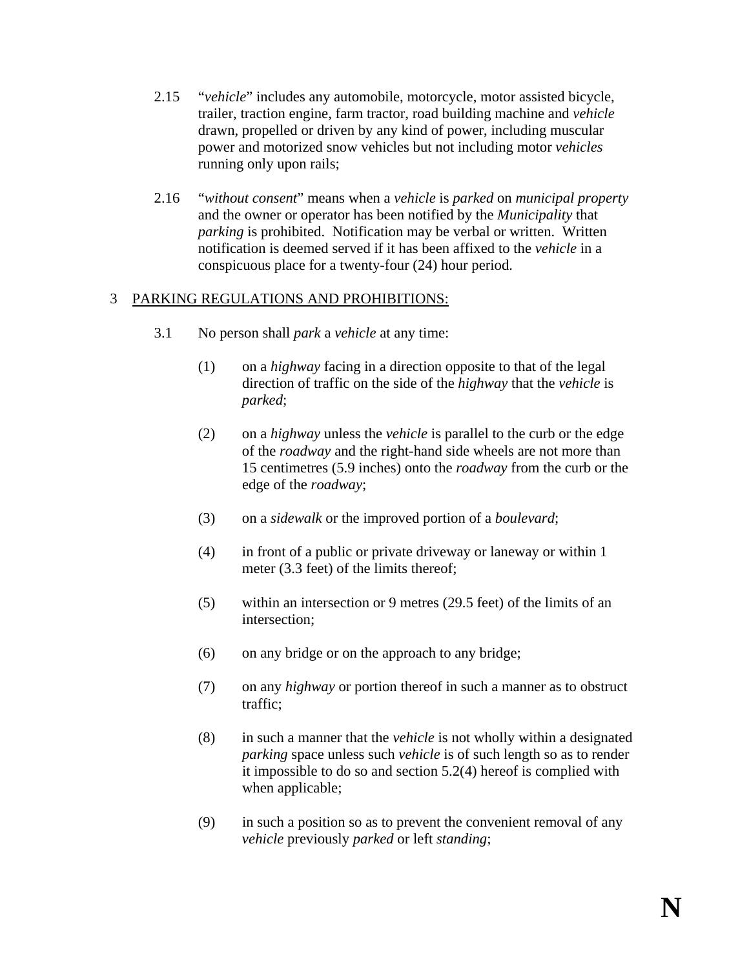- 2.15 "*vehicle*" includes any automobile, motorcycle, motor assisted bicycle, trailer, traction engine, farm tractor, road building machine and *vehicle* drawn, propelled or driven by any kind of power, including muscular power and motorized snow vehicles but not including motor *vehicles* running only upon rails;
- 2.16 "*without consent*" means when a *vehicle* is *parked* on *municipal property* and the owner or operator has been notified by the *Municipality* that *parking* is prohibited. Notification may be verbal or written. Written notification is deemed served if it has been affixed to the *vehicle* in a conspicuous place for a twenty-four (24) hour period.

# 3 PARKING REGULATIONS AND PROHIBITIONS:

- 3.1 No person shall *park* a *vehicle* at any time:
	- (1) on a *highway* facing in a direction opposite to that of the legal direction of traffic on the side of the *highway* that the *vehicle* is *parked*;
	- (2) on a *highway* unless the *vehicle* is parallel to the curb or the edge of the *roadway* and the right-hand side wheels are not more than 15 centimetres (5.9 inches) onto the *roadway* from the curb or the edge of the *roadway*;
	- (3) on a *sidewalk* or the improved portion of a *boulevard*;
	- (4) in front of a public or private driveway or laneway or within 1 meter (3.3 feet) of the limits thereof;
	- (5) within an intersection or 9 metres (29.5 feet) of the limits of an intersection;
	- (6) on any bridge or on the approach to any bridge;
	- (7) on any *highway* or portion thereof in such a manner as to obstruct traffic;
	- (8) in such a manner that the *vehicle* is not wholly within a designated *parking* space unless such *vehicle* is of such length so as to render it impossible to do so and section 5.2(4) hereof is complied with when applicable;
	- (9) in such a position so as to prevent the convenient removal of any *vehicle* previously *parked* or left *standing*;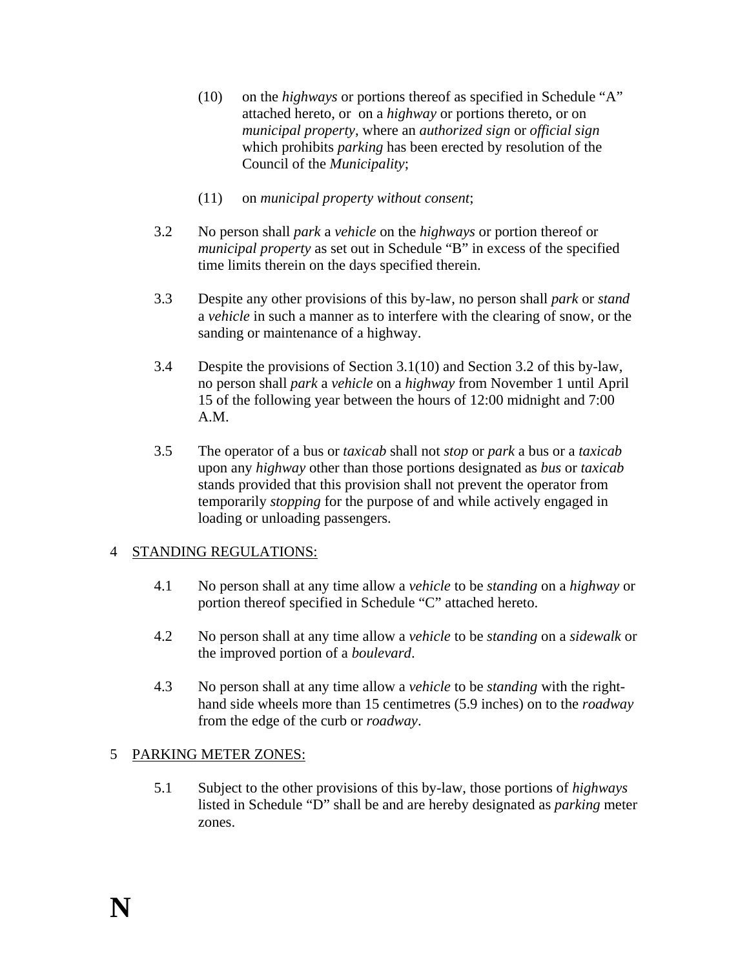- (10) on the *highways* or portions thereof as specified in Schedule "A" attached hereto, or on a *highway* or portions thereto, or on *municipal property*, where an *authorized sign* or *official sign* which prohibits *parking* has been erected by resolution of the Council of the *Municipality*;
- (11) on *municipal property without consent*;
- 3.2 No person shall *park* a *vehicle* on the *highways* or portion thereof or *municipal property* as set out in Schedule "B" in excess of the specified time limits therein on the days specified therein.
- 3.3 Despite any other provisions of this by-law, no person shall *park* or *stand* a *vehicle* in such a manner as to interfere with the clearing of snow, or the sanding or maintenance of a highway.
- 3.4 Despite the provisions of Section 3.1(10) and Section 3.2 of this by-law, no person shall *park* a *vehicle* on a *highway* from November 1 until April 15 of the following year between the hours of 12:00 midnight and 7:00 A.M.
- 3.5 The operator of a bus or *taxicab* shall not *stop* or *park* a bus or a *taxicab*  upon any *highway* other than those portions designated as *bus* or *taxicab* stands provided that this provision shall not prevent the operator from temporarily *stopping* for the purpose of and while actively engaged in loading or unloading passengers.

## 4 STANDING REGULATIONS:

- 4.1 No person shall at any time allow a *vehicle* to be *standing* on a *highway* or portion thereof specified in Schedule "C" attached hereto.
- 4.2 No person shall at any time allow a *vehicle* to be *standing* on a *sidewalk* or the improved portion of a *boulevard*.
- 4.3 No person shall at any time allow a *vehicle* to be *standing* with the righthand side wheels more than 15 centimetres (5.9 inches) on to the *roadway* from the edge of the curb or *roadway*.

### 5 PARKING METER ZONES:

5.1 Subject to the other provisions of this by-law, those portions of *highways* listed in Schedule "D" shall be and are hereby designated as *parking* meter zones.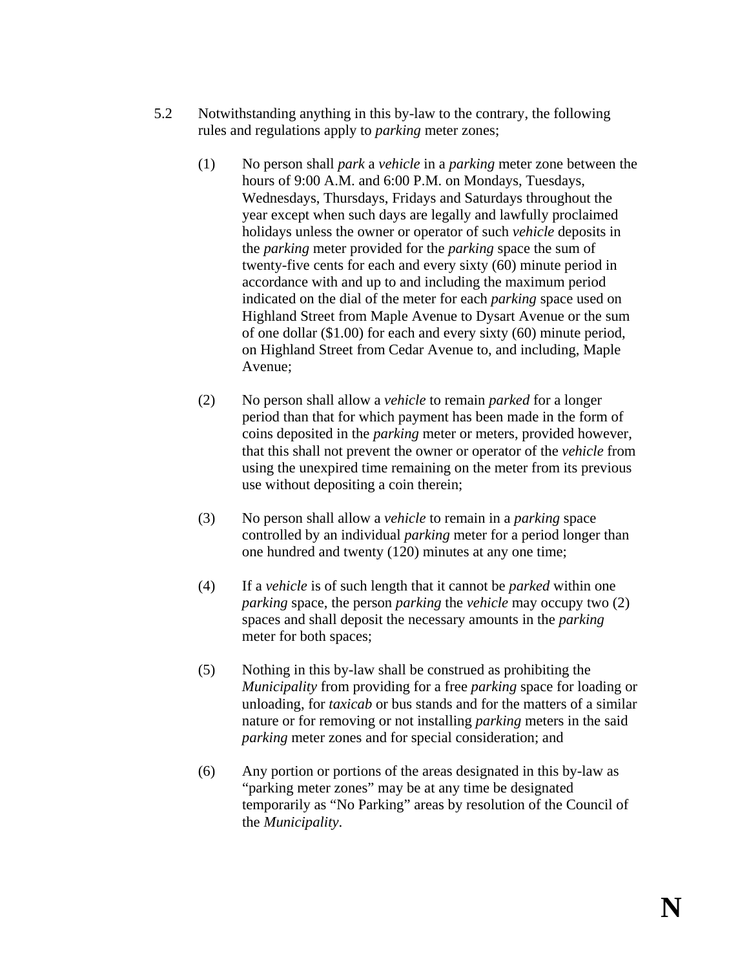- 5.2 Notwithstanding anything in this by-law to the contrary, the following rules and regulations apply to *parking* meter zones;
	- (1) No person shall *park* a *vehicle* in a *parking* meter zone between the hours of 9:00 A.M. and 6:00 P.M. on Mondays, Tuesdays, Wednesdays, Thursdays, Fridays and Saturdays throughout the year except when such days are legally and lawfully proclaimed holidays unless the owner or operator of such *vehicle* deposits in the *parking* meter provided for the *parking* space the sum of twenty-five cents for each and every sixty (60) minute period in accordance with and up to and including the maximum period indicated on the dial of the meter for each *parking* space used on Highland Street from Maple Avenue to Dysart Avenue or the sum of one dollar (\$1.00) for each and every sixty (60) minute period, on Highland Street from Cedar Avenue to, and including, Maple Avenue;
	- (2) No person shall allow a *vehicle* to remain *parked* for a longer period than that for which payment has been made in the form of coins deposited in the *parking* meter or meters, provided however, that this shall not prevent the owner or operator of the *vehicle* from using the unexpired time remaining on the meter from its previous use without depositing a coin therein;
	- (3) No person shall allow a *vehicle* to remain in a *parking* space controlled by an individual *parking* meter for a period longer than one hundred and twenty (120) minutes at any one time;
	- (4) If a *vehicle* is of such length that it cannot be *parked* within one *parking* space, the person *parking* the *vehicle* may occupy two (2) spaces and shall deposit the necessary amounts in the *parking* meter for both spaces;
	- (5) Nothing in this by-law shall be construed as prohibiting the *Municipality* from providing for a free *parking* space for loading or unloading, for *taxicab* or bus stands and for the matters of a similar nature or for removing or not installing *parking* meters in the said *parking* meter zones and for special consideration; and
	- (6) Any portion or portions of the areas designated in this by-law as "parking meter zones" may be at any time be designated temporarily as "No Parking" areas by resolution of the Council of the *Municipality*.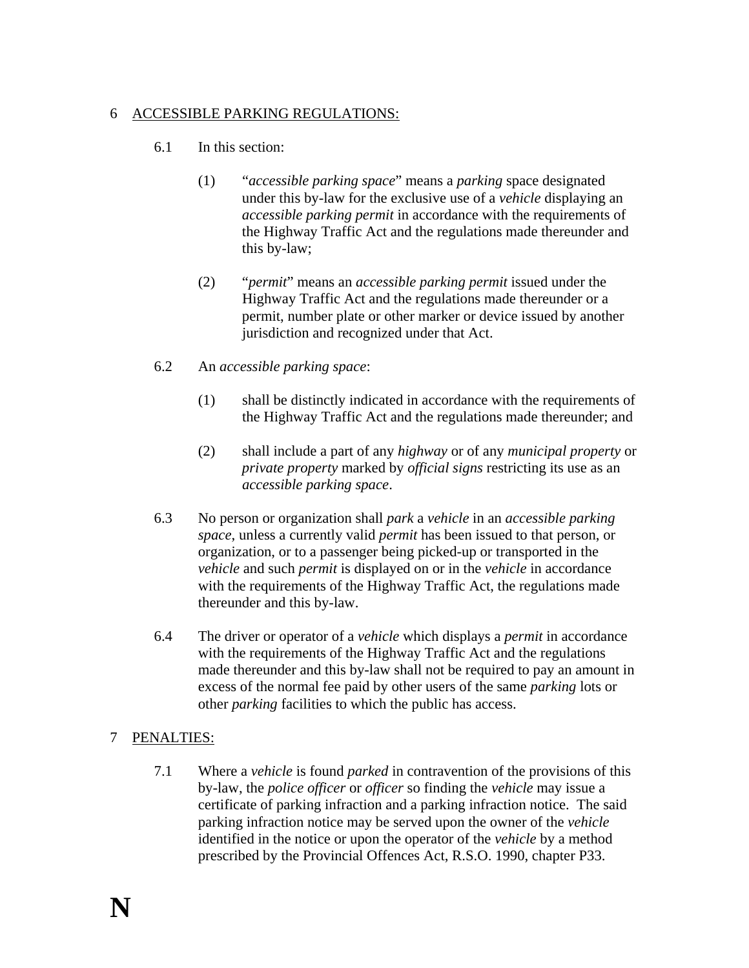## 6 ACCESSIBLE PARKING REGULATIONS:

## 6.1 In this section:

- (1) "*accessible parking space*" means a *parking* space designated under this by-law for the exclusive use of a *vehicle* displaying an *accessible parking permit* in accordance with the requirements of the Highway Traffic Act and the regulations made thereunder and this by-law;
- (2) "*permit*" means an *accessible parking permit* issued under the Highway Traffic Act and the regulations made thereunder or a permit, number plate or other marker or device issued by another jurisdiction and recognized under that Act.
- 6.2 An *accessible parking space*:
	- (1) shall be distinctly indicated in accordance with the requirements of the Highway Traffic Act and the regulations made thereunder; and
	- (2) shall include a part of any *highway* or of any *municipal property* or *private property* marked by *official signs* restricting its use as an *accessible parking space*.
- 6.3 No person or organization shall *park* a *vehicle* in an *accessible parking space*, unless a currently valid *permit* has been issued to that person, or organization, or to a passenger being picked-up or transported in the *vehicle* and such *permit* is displayed on or in the *vehicle* in accordance with the requirements of the Highway Traffic Act, the regulations made thereunder and this by-law.
- 6.4 The driver or operator of a *vehicle* which displays a *permit* in accordance with the requirements of the Highway Traffic Act and the regulations made thereunder and this by-law shall not be required to pay an amount in excess of the normal fee paid by other users of the same *parking* lots or other *parking* facilities to which the public has access.

## 7 PENALTIES:

7.1 Where a *vehicle* is found *parked* in contravention of the provisions of this by-law, the *police officer* or *officer* so finding the *vehicle* may issue a certificate of parking infraction and a parking infraction notice. The said parking infraction notice may be served upon the owner of the *vehicle* identified in the notice or upon the operator of the *vehicle* by a method prescribed by the Provincial Offences Act, R.S.O. 1990, chapter P33.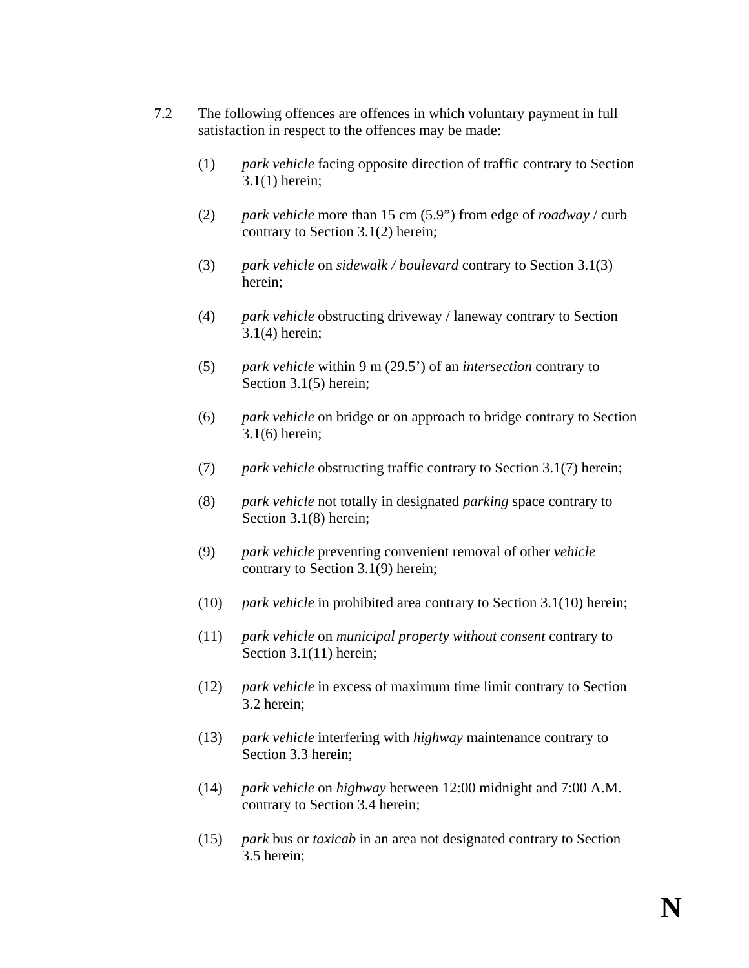- 7.2 The following offences are offences in which voluntary payment in full satisfaction in respect to the offences may be made:
	- (1) *park vehicle* facing opposite direction of traffic contrary to Section 3.1(1) herein;
	- (2) *park vehicle* more than 15 cm (5.9") from edge of *roadway* / curb contrary to Section 3.1(2) herein;
	- (3) *park vehicle* on *sidewalk / boulevard* contrary to Section 3.1(3) herein;
	- (4) *park vehicle* obstructing driveway / laneway contrary to Section 3.1(4) herein;
	- (5) *park vehicle* within 9 m (29.5') of an *intersection* contrary to Section 3.1(5) herein;
	- (6) *park vehicle* on bridge or on approach to bridge contrary to Section 3.1(6) herein;
	- (7) *park vehicle* obstructing traffic contrary to Section 3.1(7) herein;
	- (8) *park vehicle* not totally in designated *parking* space contrary to Section 3.1(8) herein;
	- (9) *park vehicle* preventing convenient removal of other *vehicle* contrary to Section 3.1(9) herein;
	- (10) *park vehicle* in prohibited area contrary to Section 3.1(10) herein;
	- (11) *park vehicle* on *municipal property without consent* contrary to Section 3.1(11) herein:
	- (12) *park vehicle* in excess of maximum time limit contrary to Section 3.2 herein;
	- (13) *park vehicle* interfering with *highway* maintenance contrary to Section 3.3 herein;
	- (14) *park vehicle* on *highway* between 12:00 midnight and 7:00 A.M. contrary to Section 3.4 herein;
	- (15) *park* bus or *taxicab* in an area not designated contrary to Section 3.5 herein;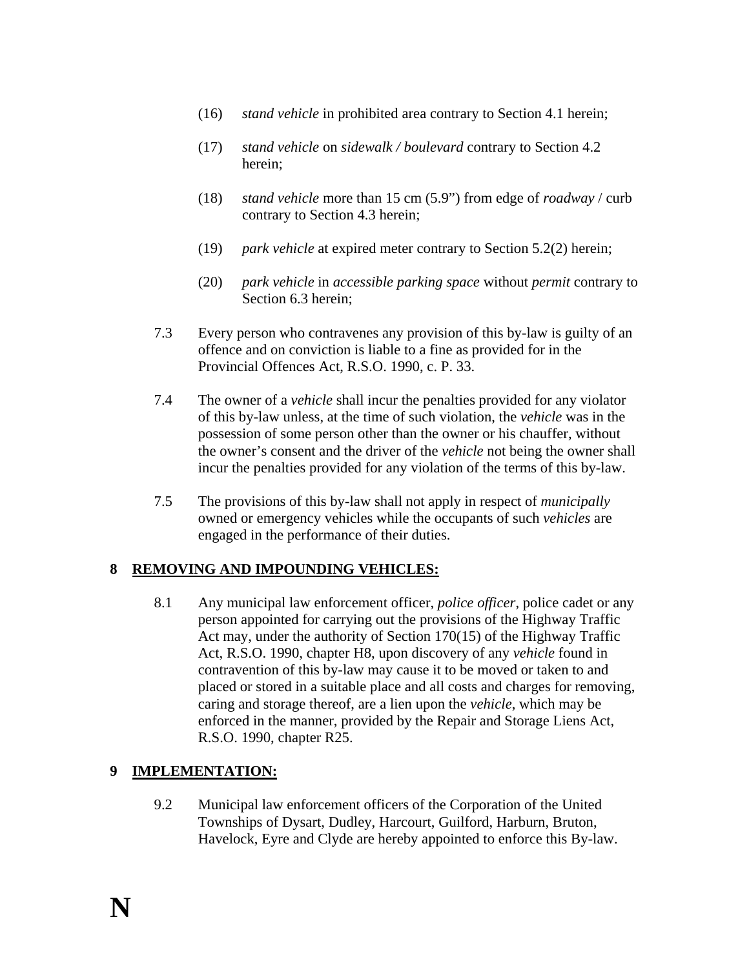- (16) *stand vehicle* in prohibited area contrary to Section 4.1 herein;
- (17) *stand vehicle* on *sidewalk / boulevard* contrary to Section 4.2 herein;
- (18) *stand vehicle* more than 15 cm (5.9") from edge of *roadway* / curb contrary to Section 4.3 herein;
- (19) *park vehicle* at expired meter contrary to Section 5.2(2) herein;
- (20) *park vehicle* in *accessible parking space* without *permit* contrary to Section 6.3 herein;
- 7.3 Every person who contravenes any provision of this by-law is guilty of an offence and on conviction is liable to a fine as provided for in the Provincial Offences Act, R.S.O. 1990, c. P. 33.
- 7.4 The owner of a *vehicle* shall incur the penalties provided for any violator of this by-law unless, at the time of such violation, the *vehicle* was in the possession of some person other than the owner or his chauffer, without the owner's consent and the driver of the *vehicle* not being the owner shall incur the penalties provided for any violation of the terms of this by-law.
- 7.5 The provisions of this by-law shall not apply in respect of *municipally* owned or emergency vehicles while the occupants of such *vehicles* are engaged in the performance of their duties.

# **8 REMOVING AND IMPOUNDING VEHICLES:**

8.1 Any municipal law enforcement officer, *police officer*, police cadet or any person appointed for carrying out the provisions of the Highway Traffic Act may, under the authority of Section 170(15) of the Highway Traffic Act, R.S.O. 1990, chapter H8, upon discovery of any *vehicle* found in contravention of this by-law may cause it to be moved or taken to and placed or stored in a suitable place and all costs and charges for removing, caring and storage thereof, are a lien upon the *vehicle*, which may be enforced in the manner, provided by the Repair and Storage Liens Act, R.S.O. 1990, chapter R25.

## **9 IMPLEMENTATION:**

9.2 Municipal law enforcement officers of the Corporation of the United Townships of Dysart, Dudley, Harcourt, Guilford, Harburn, Bruton, Havelock, Eyre and Clyde are hereby appointed to enforce this By-law.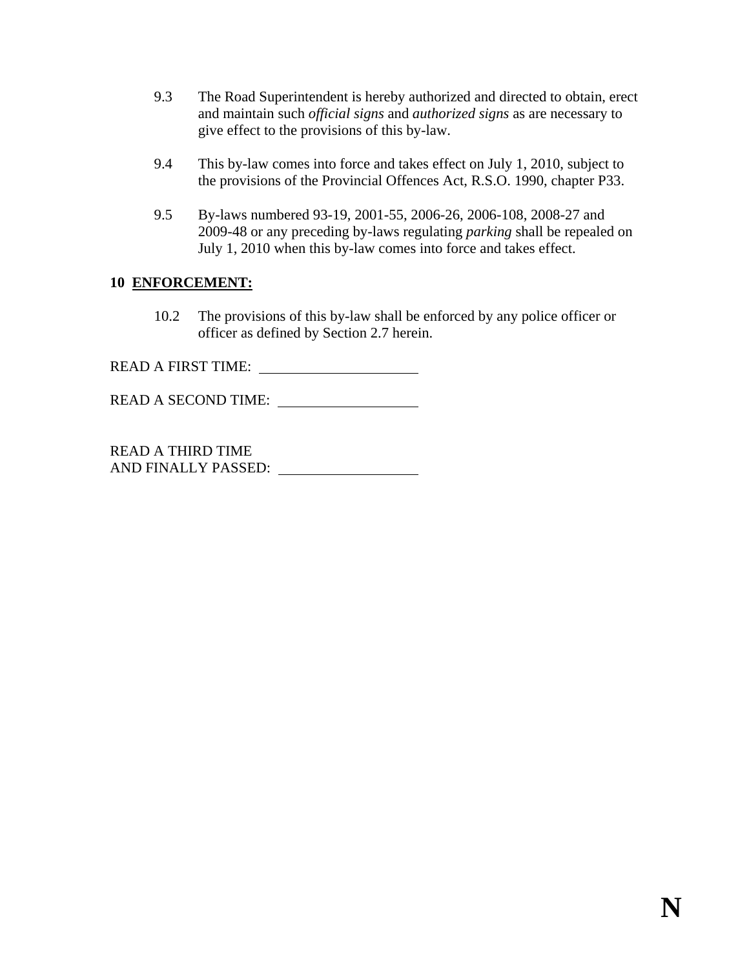- 9.3 The Road Superintendent is hereby authorized and directed to obtain, erect and maintain such *official signs* and *authorized signs* as are necessary to give effect to the provisions of this by-law.
- 9.4 This by-law comes into force and takes effect on July 1, 2010, subject to the provisions of the Provincial Offences Act, R.S.O. 1990, chapter P33.
- 9.5 By-laws numbered 93-19, 2001-55, 2006-26, 2006-108, 2008-27 and 2009-48 or any preceding by-laws regulating *parking* shall be repealed on July 1, 2010 when this by-law comes into force and takes effect.

## **10 ENFORCEMENT:**

10.2 The provisions of this by-law shall be enforced by any police officer or officer as defined by Section 2.7 herein.

READ A FIRST TIME:

READ A SECOND TIME:

READ A THIRD TIME AND FINALLY PASSED: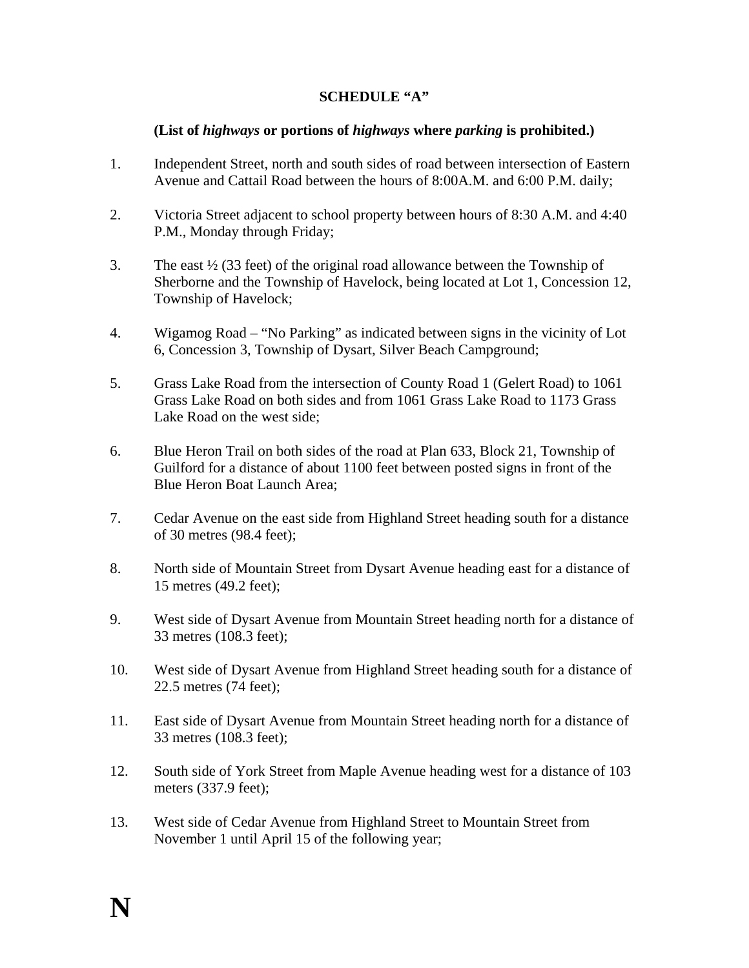## **SCHEDULE "A"**

## **(List of** *highways* **or portions of** *highways* **where** *parking* **is prohibited.)**

- 1. Independent Street, north and south sides of road between intersection of Eastern Avenue and Cattail Road between the hours of 8:00A.M. and 6:00 P.M. daily;
- 2. Victoria Street adjacent to school property between hours of 8:30 A.M. and 4:40 P.M., Monday through Friday;
- 3. The east  $\frac{1}{2}$  (33 feet) of the original road allowance between the Township of Sherborne and the Township of Havelock, being located at Lot 1, Concession 12, Township of Havelock;
- 4. Wigamog Road "No Parking" as indicated between signs in the vicinity of Lot 6, Concession 3, Township of Dysart, Silver Beach Campground;
- 5. Grass Lake Road from the intersection of County Road 1 (Gelert Road) to 1061 Grass Lake Road on both sides and from 1061 Grass Lake Road to 1173 Grass Lake Road on the west side;
- 6. Blue Heron Trail on both sides of the road at Plan 633, Block 21, Township of Guilford for a distance of about 1100 feet between posted signs in front of the Blue Heron Boat Launch Area;
- 7. Cedar Avenue on the east side from Highland Street heading south for a distance of 30 metres (98.4 feet);
- 8. North side of Mountain Street from Dysart Avenue heading east for a distance of 15 metres (49.2 feet);
- 9. West side of Dysart Avenue from Mountain Street heading north for a distance of 33 metres (108.3 feet);
- 10. West side of Dysart Avenue from Highland Street heading south for a distance of 22.5 metres (74 feet);
- 11. East side of Dysart Avenue from Mountain Street heading north for a distance of 33 metres (108.3 feet);
- 12. South side of York Street from Maple Avenue heading west for a distance of 103 meters (337.9 feet);
- 13. West side of Cedar Avenue from Highland Street to Mountain Street from November 1 until April 15 of the following year;

**N**